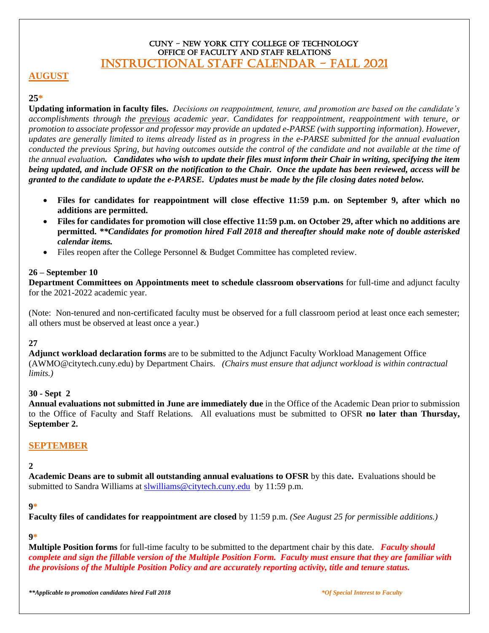### CUNY - New York City College of Technology OFFICE OF FACULTY AND STAFF RELATIONS INSTRUCTIONAL STAFF CALENDAR - FALL 2021

## **AUGUST**

## **25\***

**Updating information in faculty files.** *Decisions on reappointment, tenure, and promotion are based on the candidate's accomplishments through the previous academic year. Candidates for reappointment, reappointment with tenure, or promotion to associate professor and professor may provide an updated e-PARSE (with supporting information). However, updates are generally limited to items already listed as in progress in the e-PARSE submitted for the annual evaluation conducted the previous Spring, but having outcomes outside the control of the candidate and not available at the time of the annual evaluation. Candidates who wish to update their files must inform their Chair in writing, specifying the item being updated, and include OFSR on the notification to the Chair. Once the update has been reviewed, access will be granted to the candidate to update the e-PARSE. Updates must be made by the file closing dates noted below.*

- **Files for candidates for reappointment will close effective 11:59 p.m. on September 9, after which no additions are permitted.**
- **Files for candidates for promotion will close effective 11:59 p.m. on October 29, after which no additions are permitted.** *\*\*Candidates for promotion hired Fall 2018 and thereafter should make note of double asterisked calendar items.*
- Files reopen after the College Personnel & Budget Committee has completed review.

### **26 – September 10**

**Department Committees on Appointments meet to schedule classroom observations** for full-time and adjunct faculty for the 2021-2022 academic year.

(Note: Non-tenured and non-certificated faculty must be observed for a full classroom period at least once each semester; all others must be observed at least once a year.)

# **27**

**Adjunct workload declaration forms** are to be submitted to the Adjunct Faculty Workload Management Office (AWMO@citytech.cuny.edu) by Department Chairs. *(Chairs must ensure that adjunct workload is within contractual limits.)*

## **30 - Sept 2**

**Annual evaluations not submitted in June are immediately due** in the Office of the Academic Dean prior to submission to the Office of Faculty and Staff Relations. All evaluations must be submitted to OFSR **no later than Thursday, September 2.** 

## **SEPTEMBER**

### **2**

**Academic Deans are to submit all outstanding annual evaluations to OFSR** by this date**.** Evaluations should be submitted to Sandra Williams at [slwilliams@citytech.cuny.edu](mailto:slwilliams@citytech.cuny.edu) by 11:59 p.m.

### **9\***

**Faculty files of candidates for reappointment are closed** by 11:59 p.m. *(See August 25 for permissible additions.)*

### **9\***

**Multiple Position forms** for full-time faculty to be submitted to the department chair by this date. *Faculty should complete and sign the fillable version of the Multiple Position Form. Faculty must ensure that they are familiar with the provisions of the Multiple Position Policy and are accurately reporting activity, title and tenure status.*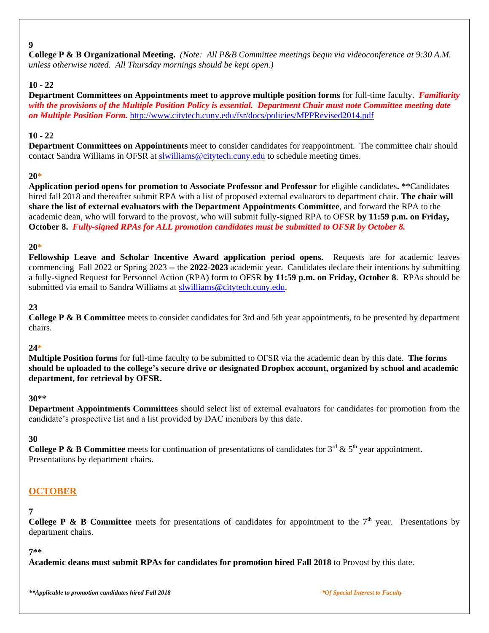### **9**

**College P & B Organizational Meeting.** *(Note: All P&B Committee meetings begin via videoconference at 9:30 A.M. unless otherwise noted. All Thursday mornings should be kept open.)*

# **10 - 22**

**Department Committees on Appointments meet to approve multiple position forms** for full-time faculty. *Familiarity with the provisions of the Multiple Position Policy is essential. Department Chair must note Committee meeting date on Multiple Position Form.* <http://www.citytech.cuny.edu/fsr/docs/policies/MPPRevised2014.pdf>

## **10 - 22**

**Department Committees on Appointments** meet to consider candidates for reappointment. The committee chair should contact Sandra Williams in OFSR at [slwilliams@citytech.cuny.edu](mailto:slwilliams@citytech.cuny.edu) to schedule meeting times.

## **20\***

**Application period opens for promotion to Associate Professor and Professor** for eligible candidates**.** \*\*Candidates hired fall 2018 and thereafter submit RPA with a list of proposed external evaluators to department chair. **The chair will share the list of external evaluators with the Department Appointments Committee**, and forward the RPA to the academic dean, who will forward to the provost, who will submit fully-signed RPA to OFSR **by 11:59 p.m. on Friday, October 8.** *Fully-signed RPAs for ALL promotion candidates must be submitted to OFSR by October 8.*

## **20\***

**Fellowship Leave and Scholar Incentive Award application period opens.** Requests are for academic leaves commencing Fall 2022 or Spring 2023 -- the **2022-2023** academic year. Candidates declare their intentions by submitting a fully-signed Request for Personnel Action (RPA) form to OFSR **by 11:59 p.m. on Friday, October 8**. RPAs should be submitted via email to Sandra Williams at [slwilliams@citytech.cuny.edu.](mailto:slwilliams@citytech.cuny.edu)

# **23**

**College P & B Committee** meets to consider candidates for 3rd and 5th year appointments, to be presented by department chairs.

## **24\***

**Multiple Position forms** for full-time faculty to be submitted to OFSR via the academic dean by this date. **The forms should be uploaded to the college's secure drive or designated Dropbox account, organized by school and academic department, for retrieval by OFSR.**

## **30\*\***

**Department Appointments Committees** should select list of external evaluators for candidates for promotion from the candidate's prospective list and a list provided by DAC members by this date.

## **30**

**College P & B Committee** meets for continuation of presentations of candidates for  $3^{rd}$  &  $5^{th}$  year appointment. Presentations by department chairs.

# **OCTOBER**

# **7**

**College P & B Committee** meets for presentations of candidates for appointment to the  $7<sup>th</sup>$  year. Presentations by department chairs.

### **7\*\***

**Academic deans must submit RPAs for candidates for promotion hired Fall 2018** to Provost by this date.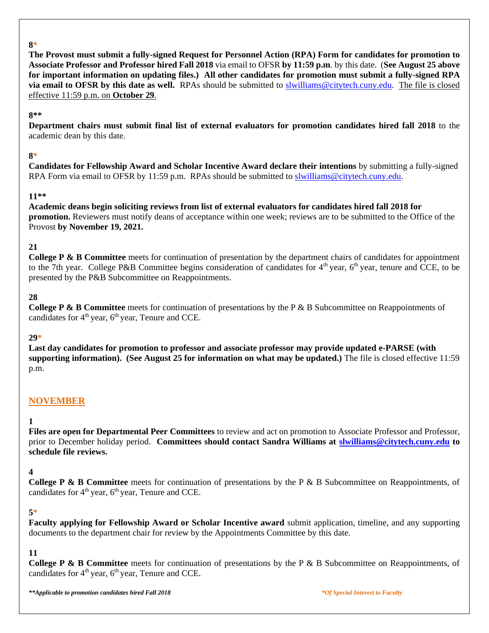#### **8\***

**The Provost must submit a fully-signed Request for Personnel Action (RPA) Form for candidates for promotion to Associate Professor and Professor hired Fall 2018** via email to OFSR **by 11:59 p.m**. by this date. (**See August 25 above for important information on updating files.) All other candidates for promotion must submit a fully-signed RPA via email to OFSR by this date as well.** RPAs should be submitted to [slwilliams@citytech.cuny.edu.](mailto:slwilliams@citytech.cuny.edu)The file is closed effective 11:59 p.m. on **October 29**.

#### **8\*\***

**Department chairs must submit final list of external evaluators for promotion candidates hired fall 2018** to the academic dean by this date.

### **8\***

**Candidates for Fellowship Award and Scholar Incentive Award declare their intentions** by submitting a fully-signed RPA Form via email to OFSR by 11:59 p.m. RPAs should be submitted to [slwilliams@citytech.cuny.edu.](mailto:slwilliams@citytech.cuny.edu)

#### **11\*\***

**Academic deans begin soliciting reviews from list of external evaluators for candidates hired fall 2018 for promotion.** Reviewers must notify deans of acceptance within one week; reviews are to be submitted to the Office of the Provost **by November 19, 2021.**

### **21**

**College P & B Committee** meets for continuation of presentation by the department chairs of candidates for appointment to the 7th year. College P&B Committee begins consideration of candidates for  $4<sup>th</sup>$  year,  $6<sup>th</sup>$  year, tenure and CCE, to be presented by the P&B Subcommittee on Reappointments.

### **28**

**College P & B Committee** meets for continuation of presentations by the P & B Subcommittee on Reappointments of candidates for  $4<sup>th</sup>$  year, 6<sup>th</sup> year, Tenure and CCE.

### **29\***

**Last day candidates for promotion to professor and associate professor may provide updated e-PARSE (with supporting information). (See August 25 for information on what may be updated.)** The file is closed effective 11:59 p.m.

## **NOVEMBER**

### **1**

**Files are open for Departmental Peer Committees** to review and act on promotion to Associate Professor and Professor, prior to December holiday period. **Committees should contact Sandra Williams at [slwilliams@citytech.cuny.edu](mailto:slwilliams@citytech.cuny.edu) to schedule file reviews.**

### **4**

**College P & B Committee** meets for continuation of presentations by the P & B Subcommittee on Reappointments, of candidates for  $4<sup>th</sup>$  year,  $6<sup>th</sup>$  year, Tenure and CCE.

### **5\***

**Faculty applying for Fellowship Award or Scholar Incentive award** submit application, timeline, and any supporting documents to the department chair for review by the Appointments Committee by this date.

## **11**

**College P & B Committee** meets for continuation of presentations by the P & B Subcommittee on Reappointments, of candidates for  $4<sup>th</sup>$  year,  $6<sup>th</sup>$  year, Tenure and CCE.